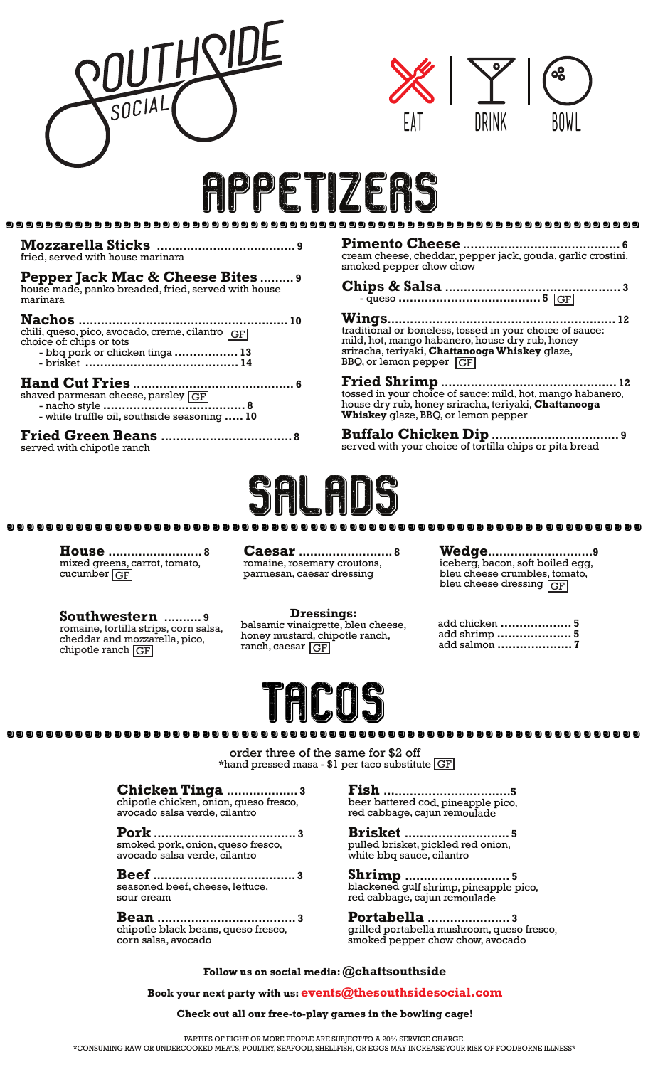



# APPETIZERS

**Mozzarella Sticks ..................................... 9**  fried, served with house marinara

**Pepper Jack Mac & Cheese Bites ......... 9** house made, panko breaded, fried, served with house marinara

**Nachos ........................................................ 10** chili, queso, pico, avocado, creme, cilantro  $\overline{\mathrm{GF}}$ choice of: chips or tots

- bbq pork or chicken tinga **................. 13**
- brisket **......................................... 14**

#### **Hand Cut Fries ........................................... 6**

shaved parmesan cheese, parsley - nacho style **...................................... 8** GF

- white truffle oil, southside seasoning **..... 10**

**Fried Green Beans ................................... 8** served with chipotle ranch

**Pimento Cheese .......................................... 6** cream cheese, cheddar, pepper jack, gouda, garlic crostini, smoked pepper chow chow

**Wings............................................................. 12** traditional or boneless, tossed in your choice of sauce: mild, hot, mango habanero, house dry rub, honey sriracha, teriyaki, **Chattanooga Whiskey** glaze, BBQ, or lemon pepper  $\boxed{\text{GF}}$ Control of the chose of the chosen of the chosen of the chosen of the chosen of the chosen of the chosen of the chosen of the chosen of the chosen of the chosen of the chosen of the chosen of the chosen of the chosen of t

## **Fried Shrimp ............................................... 12**

tossed in your choice of sauce: mild, hot, mango habanero, house dry rub, honey sriracha, teriyaki, **Chattanooga Whiskey** glaze, BBQ, or lemon pepper

**Buffalo Chicken Dip .................................. 9** served with your choice of tortilla chips or pita bread



**House ......................... 8** mixed greens, carrot, tomato, cucumber *GF* 

**Caesar ......................... 8** romaine, rosemary croutons, parmesan, caesar dressing

#### **Wedge............................9**

iceberg, bacon, soft boiled egg, bleu cheese crumbles, tomato, bleu cheese dressing *GF* 

**Southwestern .......... 9** romaine, tortilla strips, corn salsa, cheddar and mozzarella, pico, chipotle ranch GF

**Dressings:** balsamic vinaigrette, bleu cheese, honey mustard, chipotle ranch, ranch, caesar <mark>[GF</mark>

## TACOS

**................... 5** add chicken add shrimp **.................... 5**

add salmon **.................... 7**

.................................................................

order three of the same for \$2 off  $^{\star}$ hand pressed masa - \$1 per taco substitute  $\boxed{\text{GF}}$ 

**Chicken Tinga ................... 3** chipotle chicken, onion, queso fresco,

avocado salsa verde, cilantro

**Pork ...................................... 3**

smoked pork, onion, queso fresco, avocado salsa verde, cilantro

**Beef ...................................... 3** seasoned beef, cheese, lettuce, sour cream

**Bean ..................................... 3**

chipotle black beans, queso fresco, corn salsa, avocado

**Fish ..................................5** beer battered cod, pineapple pico, red cabbage, cajun remoulade

**Brisket ............................ 5** pulled brisket, pickled red onion, white bbq sauce, cilantro

**Shrimp ............................ 5** blackened gulf shrimp, pineapple pico, red cabbage, cajun remoulade

**Portabella ...................... 3** grilled portabella mushroom, queso fresco,

**Follow us on social media: @chattsouthside**

### **Book your next party with us: events@thesouthsidesocial.com**

#### **Check out all our free-to-play games in the bowling cage!**

PARTIES OF EIGHT OR MORE PEOPLE ARE SUBJECT TO A 20% SERVICE CHARGE.

\*CONSUMING RAW OR UNDERCOOKED MEATS, POULTRY, SEAFOOD, SHELLFISH, OR EGGS MAY INCREASE YOUR RISK OF FOODBORNE ILLNESS\*